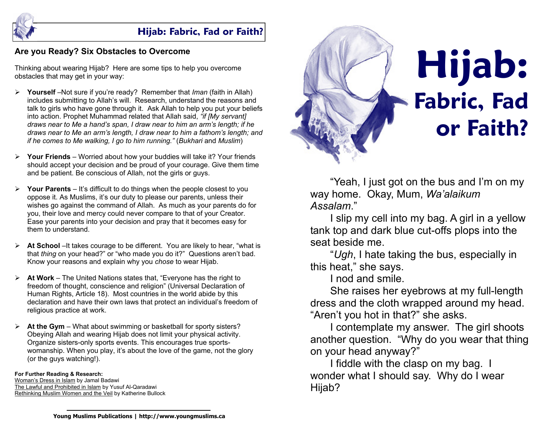

# **Hijab: Fabric, Fad or Faith?**

## **Are you Ready? Six Obstacles to Overcome**

Thinking about wearing Hijab? Here are some tips to help you overcome obstacles that may get in your way:

- ¾ **Yourself** –Not sure if you're ready? Remember that *Iman* (faith in Allah) includes submitting to Allah's will. Research, understand the reasons and talk to girls who have gone through it. Ask Allah to help you put your beliefs into action. Prophet Muhammad related that Allah said, *"if [My servant] draws near to Me a hand's span, I draw near to him an arm's length; if he draws near to Me an arm's length, I draw near to him a fathom's length; and if he comes to Me walking, I go to him running."* (*Bukhari* and *Muslim*)
- ¾ **Your Friends**  Worried about how your buddies will take it? Your friends should accept your decision and be proud of your courage. Give them time and be patient. Be conscious of Allah, not the girls or guys.
- ¾ **Your Parents**  It's difficult to do things when the people closest to you oppose it. As Muslims, it's our duty to please our parents, unless their wishes go against the command of Allah. As much as your parents do for you, their love and mercy could never compare to that of your Creator. Ease your parents into your decision and pray that it becomes easy for them to understand.
- ¾ **At School** –It takes courage to be different. You are likely to hear, "what is that *thing* on your head?" or "who made you do it?" Questions aren't bad. Know your reasons and explain why you *chose* to wear Hijab.
- ¾ **At Work** The United Nations states that, "Everyone has the right to freedom of thought, conscience and religion" (Universal Declaration of Human Rights, Article 18). Most countries in the world abide by this declaration and have their own laws that protect an individual's freedom of religious practice at work.
- At the Gym What about swimming or basketball for sporty sisters? Obeying Allah and wearing Hijab does not limit your physical activity. Organize sisters-only sports events. This encourages true sportswomanship. When you play, it's about the love of the game, not the glory (or the guys watching!).

#### **For Further Reading & Research:**

Woman's Dress in Islam by Jamal Badawi The Lawful and Prohibited in Islam by Yusuf Al-Qaradawi Rethinking Muslim Women and the Veil by Katherine Bullock



"Yeah, I just got on the bus and I'm on my way home. Okay, Mum, *Wa'alaikum Assalam*."

 I slip my cell into my bag. A girl in a yellow tank top and dark blue cut-offs plops into the seat beside me.

 "*Ugh*, I hate taking the bus, especially in this heat," she says.

I nod and smile.

 She raises her eyebrows at my full-length dress and the cloth wrapped around my head. "Aren't you hot in that?" she asks.

 I contemplate my answer. The girl shoots another question. "Why do you wear that thing on your head anyway?"

 I fiddle with the clasp on my bag. I wonder what I should say. Why do I wear Hijab?